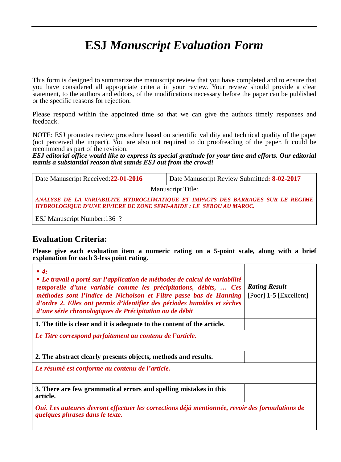# **ESJ** *Manuscript Evaluation Form*

This form is designed to summarize the manuscript review that you have completed and to ensure that you have considered all appropriate criteria in your review. Your review should provide a clear statement, to the authors and editors, of the modifications necessary before the paper can be published or the specific reasons for rejection.

Please respond within the appointed time so that we can give the authors timely responses and feedback.

NOTE: ESJ promotes review procedure based on scientific validity and technical quality of the paper (not perceived the impact). You are also not required to do proofreading of the paper. It could be recommend as part of the revision.

*ESJ editorial office would like to express its special gratitude for your time and efforts. Our editorial teamis a substantial reason that stands ESJ out from the crowd!*

| Date Manuscript Received: 22-01-2016                                                                                                                  | Date Manuscript Review Submitted: 8-02-2017 |  |
|-------------------------------------------------------------------------------------------------------------------------------------------------------|---------------------------------------------|--|
| <b>Manuscript Title:</b>                                                                                                                              |                                             |  |
| ANALYSE DE LA VARIABILITE HYDROCLIMATIQUE ET IMPACTS DES BARRAGES SUR LE REGIME<br>HYDROLOGIQUE D'UNE RIVIERE DE ZONE SEMI-ARIDE : LE SEBOU AU MAROC. |                                             |  |
| <b>ESJ Manuscript Number:136 ?</b>                                                                                                                    |                                             |  |

## **Evaluation Criteria:**

**Please give each evaluation item a numeric rating on a 5-point scale, along with a brief explanation for each 3-less point rating.**

| $\blacksquare$ 4:<br>• Le travail a porté sur l'application de méthodes de calcul de variabilité<br>temporelle d'une variable comme les précipitations, débits,  Ces<br>méthodes sont l'indice de Nicholson et Filtre passe bas de Hanning<br>d'ordre 2. Elles ont permis d'identifier des périodes humides et sèches<br>d'une série chronologiques de Précipitation ou de débit | <b>Rating Result</b><br>[Poor] $1-5$ [Excellent] |  |
|----------------------------------------------------------------------------------------------------------------------------------------------------------------------------------------------------------------------------------------------------------------------------------------------------------------------------------------------------------------------------------|--------------------------------------------------|--|
| 1. The title is clear and it is adequate to the content of the article.                                                                                                                                                                                                                                                                                                          |                                                  |  |
| Le Titre correspond parfaitement au contenu de l'article.                                                                                                                                                                                                                                                                                                                        |                                                  |  |
| 2. The abstract clearly presents objects, methods and results.                                                                                                                                                                                                                                                                                                                   |                                                  |  |
| Le résumé est conforme au contenu de l'article.                                                                                                                                                                                                                                                                                                                                  |                                                  |  |
| 3. There are few grammatical errors and spelling mistakes in this<br>article.                                                                                                                                                                                                                                                                                                    |                                                  |  |
| Oui. Les auteures devront effectuer les corrections déjà mentionnée, revoir des formulations de<br>quelques phrases dans le texte.                                                                                                                                                                                                                                               |                                                  |  |